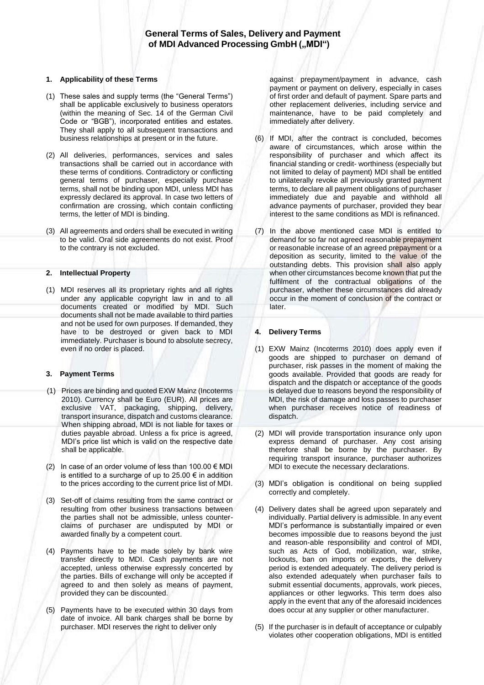## **1. Applicability of these Terms**

- (1) These sales and supply terms (the "General Terms") shall be applicable exclusively to business operators (within the meaning of Sec. 14 of the German Civil Code or "BGB"), incorporated entities and estates. They shall apply to all subsequent transactions and business relationships at present or in the future.
- (2) All deliveries, performances, services and sales transactions shall be carried out in accordance with these terms of conditions. Contradictory or conflicting general terms of purchaser, especially purchase terms, shall not be binding upon MDI, unless MDI has expressly declared its approval. In case two letters of confirmation are crossing, which contain conflicting terms, the letter of MDI is binding.
- (3) All agreements and orders shall be executed in writing to be valid. Oral side agreements do not exist. Proof to the contrary is not excluded.

### **2. Intellectual Property**

(1) MDI reserves all its proprietary rights and all rights under any applicable copyright law in and to all documents created or modified by MDI. Such documents shall not be made available to third parties and not be used for own purposes. If demanded, they have to be destroyed or given back to MDI immediately. Purchaser is bound to absolute secrecy, even if no order is placed.

# **3. Payment Terms**

- (1) Prices are binding and quoted EXW Mainz (Incoterms 2010). Currency shall be Euro (EUR). All prices are exclusive VAT, packaging, shipping, delivery, transport insurance, dispatch and customs clearance. When shipping abroad, MDI is not liable for taxes or duties payable abroad. Unless a fix price is agreed, MDI's price list which is valid on the respective date shall be applicable.
- (2) In case of an order volume of less than  $100.00 \in \text{MDI}$ is entitled to a surcharge of up to  $25.00 \in \mathbb{N}$  addition to the prices according to the current price list of MDI.
- (3) Set-off of claims resulting from the same contract or resulting from other business transactions between the parties shall not be admissible, unless counterclaims of purchaser are undisputed by MDI or awarded finally by a competent court.
- (4) Payments have to be made solely by bank wire transfer directly to MDI. Cash payments are not accepted, unless otherwise expressly concerted by the parties. Bills of exchange will only be accepted if agreed to and then solely as means of payment, provided they can be discounted.
- (5) Payments have to be executed within 30 days from date of invoice. All bank charges shall be borne by purchaser. MDI reserves the right to deliver only

against prepayment/payment in advance, cash payment or payment on delivery, especially in cases of first order and default of payment. Spare parts and other replacement deliveries, including service and maintenance, have to be paid completely and immediately after delivery.

- (6) If MDI, after the contract is concluded, becomes aware of circumstances, which arose within the responsibility of purchaser and which affect its financial standing or credit- worthiness (especially but not limited to delay of payment) MDI shall be entitled to unilaterally revoke all previously granted payment terms, to declare all payment obligations of purchaser immediately due and payable and withhold all advance payments of purchaser, provided they bear interest to the same conditions as MDI is refinanced.
- (7) In the above mentioned case MDI is entitled to demand for so far not agreed reasonable prepayment or reasonable increase of an agreed prepayment or a deposition as security, limited to the value of the outstanding debts. This provision shall also apply when other circumstances become known that put the fulfilment of the contractual obligations of the purchaser, whether these circumstances did already occur in the moment of conclusion of the contract or later.

# **4. Delivery Terms**

- (1) EXW Mainz (Incoterms 2010) does apply even if goods are shipped to purchaser on demand of purchaser, risk passes in the moment of making the goods available. Provided that goods are ready for dispatch and the dispatch or acceptance of the goods is delayed due to reasons beyond the responsibility of MDI, the risk of damage and loss passes to purchaser when purchaser receives notice of readiness of dispatch.
- (2) MDI will provide transportation insurance only upon express demand of purchaser. Any cost arising therefore shall be borne by the purchaser. By requiring transport insurance, purchaser authorizes MDI to execute the necessary declarations.
- (3) MDI's obligation is conditional on being supplied correctly and completely.
- (4) Delivery dates shall be agreed upon separately and individually. Partial delivery is admissible. In any event MDI's performance is substantially impaired or even becomes impossible due to reasons beyond the just and reason-able responsibility and control of MDI, such as Acts of God, mobilization, war, strike, lockouts, ban on imports or exports, the delivery period is extended adequately. The delivery period is also extended adequately when purchaser fails to submit essential documents, approvals, work pieces, appliances or other legworks. This term does also apply in the event that any of the aforesaid incidences does occur at any supplier or other manufacturer.
- (5) If the purchaser is in default of acceptance or culpably violates other cooperation obligations, MDI is entitled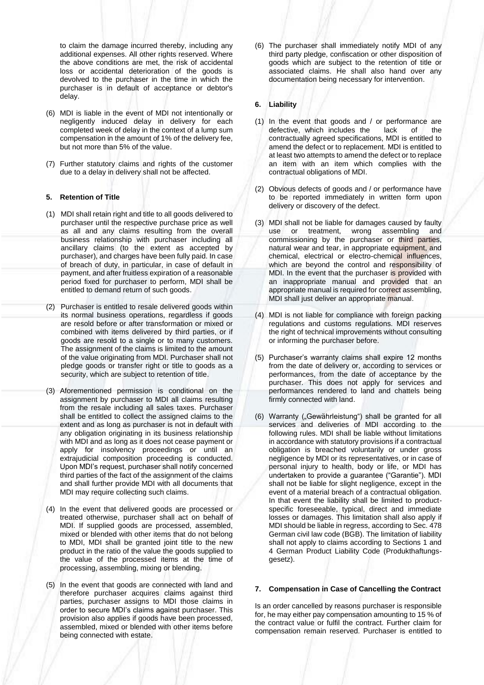to claim the damage incurred thereby, including any additional expenses. All other rights reserved. Where the above conditions are met, the risk of accidental loss or accidental deterioration of the goods is devolved to the purchaser in the time in which the purchaser is in default of acceptance or debtor's delay.

- (6) MDI is liable in the event of MDI not intentionally or negligently induced delay in delivery for each completed week of delay in the context of a lump sum compensation in the amount of 1% of the delivery fee, but not more than 5% of the value.
- (7) Further statutory claims and rights of the customer due to a delay in delivery shall not be affected.

## **5. Retention of Title**

- (1) MDI shall retain right and title to all goods delivered to purchaser until the respective purchase price as well as all and any claims resulting from the overall business relationship with purchaser including all ancillary claims (to the extent as accepted by purchaser), and charges have been fully paid. In case of breach of duty, in particular, in case of default in payment, and after fruitless expiration of a reasonable period fixed for purchaser to perform, MDI shall be entitled to demand return of such goods.
- (2) Purchaser is entitled to resale delivered goods within its normal business operations, regardless if goods are resold before or after transformation or mixed or combined with items delivered by third parties, or if goods are resold to a single or to many customers. The assignment of the claims is limited to the amount of the value originating from MDI. Purchaser shall not pledge goods or transfer right or title to goods as a security, which are subject to retention of title.
- (3) Aforementioned permission is conditional on the assignment by purchaser to MDI all claims resulting from the resale including all sales taxes. Purchaser shall be entitled to collect the assigned claims to the extent and as long as purchaser is not in default with any obligation originating in its business relationship with MDI and as long as it does not cease payment or apply for insolvency proceedings or until an extrajudicial composition proceeding is conducted. Upon MDI's request, purchaser shall notify concerned third parties of the fact of the assignment of the claims and shall further provide MDI with all documents that MDI may require collecting such claims.
- (4) In the event that delivered goods are processed or treated otherwise, purchaser shall act on behalf of MDI. If supplied goods are processed, assembled, mixed or blended with other items that do not belong to MDI, MDI shall be granted joint title to the new product in the ratio of the value the goods supplied to the value of the processed items at the time of processing, assembling, mixing or blending.
- (5) In the event that goods are connected with land and therefore purchaser acquires claims against third parties, purchaser assigns to MDI those claims in order to secure MDI's claims against purchaser. This provision also applies if goods have been processed, assembled, mixed or blended with other items before being connected with estate.

(6) The purchaser shall immediately notify MDI of any third party pledge, confiscation or other disposition of goods which are subject to the retention of title or associated claims. He shall also hand over any documentation being necessary for intervention.

## **6. Liability**

- (1) In the event that goods and / or performance are defective, which includes the lack of the contractually agreed specifications, MDI is entitled to amend the defect or to replacement. MDI is entitled to at least two attempts to amend the defect or to replace an item with an item which complies with the contractual obligations of MDI.
- (2) Obvious defects of goods and / or performance have to be reported immediately in written form upon delivery or discovery of the defect.
- (3) MDI shall not be liable for damages caused by faulty use or treatment, wrong assembling and commissioning by the purchaser or third parties, natural wear and tear, in appropriate equipment, and chemical, electrical or electro-chemical influences, which are beyond the control and responsibility of MDI. In the event that the purchaser is provided with an inappropriate manual and provided that an appropriate manual is required for correct assembling, MDI shall just deliver an appropriate manual.
- (4) MDI is not liable for compliance with foreign packing regulations and customs regulations. MDI reserves the right of technical improvements without consulting or informing the purchaser before.
- (5) Purchaser's warranty claims shall expire 12 months from the date of delivery or, according to services or performances, from the date of acceptance by the purchaser. This does not apply for services and performances rendered to land and chattels being firmly connected with land.
- (6) Warranty ("Gewährleistung") shall be granted for all services and deliveries of MDI according to the following rules. MDI shall be liable without limitations in accordance with statutory provisions if a contractual obligation is breached voluntarily or under gross negligence by MDI or its representatives, or in case of personal injury to health, body or life, or MDI has undertaken to provide a guarantee ("Garantie"). MDI shall not be liable for slight negligence, except in the event of a material breach of a contractual obligation. In that event the liability shall be limited to productspecific foreseeable, typical, direct and immediate losses or damages. This limitation shall also apply if MDI should be liable in regress, according to Sec. 478 German civil law code (BGB). The limitation of liability shall not apply to claims according to Sections 1 and 4 German Product Liability Code (Produkthaftungsgesetz).

### **7. Compensation in Case of Cancelling the Contract**

Is an order cancelled by reasons purchaser is responsible for, he may either pay compensation amounting to 15 % of the contract value or fulfil the contract. Further claim for compensation remain reserved. Purchaser is entitled to